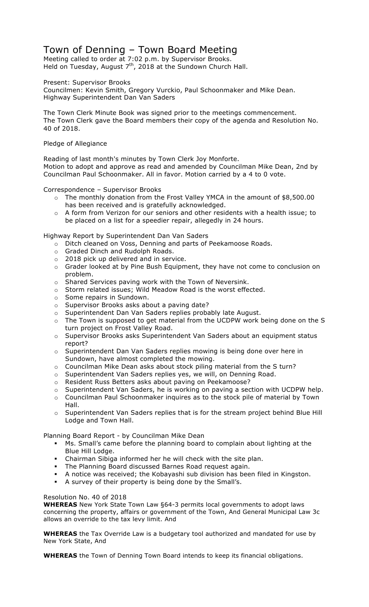# Town of Denning – Town Board Meeting

Meeting called to order at 7:02 p.m. by Supervisor Brooks. Held on Tuesday, August  $7<sup>th</sup>$ , 2018 at the Sundown Church Hall.

Present: Supervisor Brooks

Councilmen: Kevin Smith, Gregory Vurckio, Paul Schoonmaker and Mike Dean. Highway Superintendent Dan Van Saders

The Town Clerk Minute Book was signed prior to the meetings commencement. The Town Clerk gave the Board members their copy of the agenda and Resolution No. 40 of 2018.

### Pledge of Allegiance

Reading of last month's minutes by Town Clerk Joy Monforte. Motion to adopt and approve as read and amended by Councilman Mike Dean, 2nd by Councilman Paul Schoonmaker. All in favor. Motion carried by a 4 to 0 vote.

Correspondence – Supervisor Brooks

- o The monthly donation from the Frost Valley YMCA in the amount of \$8,500.00 has been received and is gratefully acknowledged.
- o A form from Verizon for our seniors and other residents with a health issue; to be placed on a list for a speedier repair, allegedly in 24 hours.

Highway Report by Superintendent Dan Van Saders

- o Ditch cleaned on Voss, Denning and parts of Peekamoose Roads.
- o Graded Dinch and Rudolph Roads.
- $\circ$  2018 pick up delivered and in service.
- o Grader looked at by Pine Bush Equipment, they have not come to conclusion on problem.
- o Shared Services paving work with the Town of Neversink.
- o Storm related issues; Wild Meadow Road is the worst effected.
- o Some repairs in Sundown.
- o Supervisor Brooks asks about a paving date?
- o Superintendent Dan Van Saders replies probably late August.
- o The Town is supposed to get material from the UCDPW work being done on the S turn project on Frost Valley Road.
- o Supervisor Brooks asks Superintendent Van Saders about an equipment status report?
- o Superintendent Dan Van Saders replies mowing is being done over here in Sundown, have almost completed the mowing.
- $\circ$  Councilman Mike Dean asks about stock piling material from the S turn?
- o Superintendent Van Saders replies yes, we will, on Denning Road.
- o Resident Russ Betters asks about paving on Peekamoose?
- o Superintendent Van Saders, he is working on paving a section with UCDPW help.
- o Councilman Paul Schoonmaker inquires as to the stock pile of material by Town Hall.
- o Superintendent Van Saders replies that is for the stream project behind Blue Hill Lodge and Town Hall.

Planning Board Report - by Councilman Mike Dean

- ! Ms. Small's came before the planning board to complain about lighting at the Blue Hill Lodge.
- ! Chairman Sibiga informed her he will check with the site plan.
- ! The Planning Board discussed Barnes Road request again.
- ! A notice was received; the Kobayashi sub division has been filed in Kingston.
- A survey of their property is being done by the Small's.

#### Resolution No. 40 of 2018

**WHEREAS** New York State Town Law §64-3 permits local governments to adopt laws concerning the property, affairs or government of the Town, And General Municipal Law 3c allows an override to the tax levy limit. And

**WHEREAS** the Tax Override Law is a budgetary tool authorized and mandated for use by New York State, And

**WHEREAS** the Town of Denning Town Board intends to keep its financial obligations.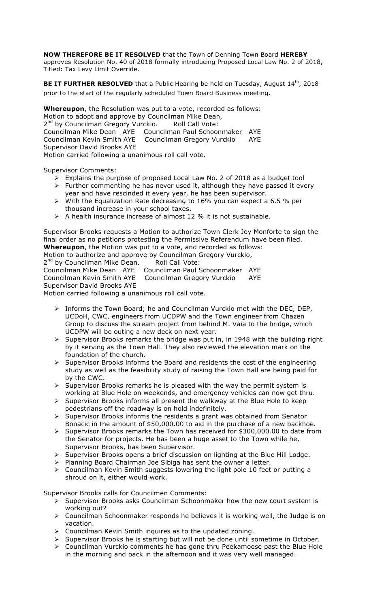**NOW THEREFORE BE IT RESOLVED** that the Town of Denning Town Board **HEREBY**

approves Resolution No. 40 of 2018 formally introducing Proposed Local Law No. 2 of 2018, Titled: Tax Levy Limit Override.

**BE IT FURTHER RESOLVED** that a Public Hearing be held on Tuesday, August 14<sup>th</sup>, 2018 prior to the start of the regularly scheduled Town Board Business meeting.

**Whereupon**, the Resolution was put to a vote, recorded as follows: Motion to adopt and approve by Councilman Mike Dean, 2<sup>nd</sup> by Councilman Gregory Vurckio. Roll Call Vote: Councilman Mike Dean AYE Councilman Paul Schoonmaker AYE Councilman Kevin Smith AYE Councilman Gregory Vurckio AYE Supervisor David Brooks AYE Motion carried following a unanimous roll call vote.

Supervisor Comments:

- $\triangleright$  Explains the purpose of proposed Local Law No. 2 of 2018 as a budget tool
- $\triangleright$  Further commenting he has never used it, although they have passed it every year and have rescinded it every year, he has been supervisor.
- $\triangleright$  With the Equalization Rate decreasing to 16% you can expect a 6.5 % per thousand increase in your school taxes.
- $\triangleright$  A health insurance increase of almost 12 % it is not sustainable.

Supervisor Brooks requests a Motion to authorize Town Clerk Joy Monforte to sign the final order as no petitions protesting the Permissive Referendum have been filed. **Whereupon**, the Motion was put to a vote, and recorded as follows:

Motion to authorize and approve by Councilman Gregory Vurckio,

2<sup>nd</sup> by Councilman Mike Dean. Roll Call Vote:

Councilman Mike Dean AYE Councilman Paul Schoonmaker AYE Councilman Kevin Smith AYE Councilman Gregory Vurckio AYE Supervisor David Brooks AYE

Motion carried following a unanimous roll call vote.

- > Informs the Town Board; he and Councilman Vurckio met with the DEC, DEP, UCDoH, CWC, engineers from UCDPW and the Town engineer from Chazen Group to discuss the stream project from behind M. Vaia to the bridge, which UCDPW will be outing a new deck on next year.
- $\triangleright$  Supervisor Brooks remarks the bridge was put in, in 1948 with the building right by it serving as the Town Hall. They also reviewed the elevation mark on the foundation of the church.
- $\triangleright$  Supervisor Brooks informs the Board and residents the cost of the engineering study as well as the feasibility study of raising the Town Hall are being paid for by the CWC.
- $\triangleright$  Supervisor Brooks remarks he is pleased with the way the permit system is working at Blue Hole on weekends, and emergency vehicles can now get thru.
- $\triangleright$  Supervisor Brooks informs all present the walkway at the Blue Hole to keep pedestrians off the roadway is on hold indefinitely.
- $\triangleright$  Supervisor Brooks informs the residents a grant was obtained from Senator Bonacic in the amount of \$50,000.00 to aid in the purchase of a new backhoe.
- > Supervisor Brooks remarks the Town has received for \$300,000.00 to date from the Senator for projects. He has been a huge asset to the Town while he, Supervisor Brooks, has been Supervisor.
- $\triangleright$  Supervisor Brooks opens a brief discussion on lighting at the Blue Hill Lodge.
- $\triangleright$  Planning Board Chairman Joe Sibiga has sent the owner a letter.
- $\triangleright$  Councilman Kevin Smith suggests lowering the light pole 10 feet or putting a shroud on it, either would work.

Supervisor Brooks calls for Councilmen Comments:

- $\triangleright$  Supervisor Brooks asks Councilman Schoonmaker how the new court system is working out?
- > Councilman Schoonmaker responds he believes it is working well, the Judge is on vacation.
- $\triangleright$  Councilman Kevin Smith inquires as to the updated zoning.
- Supervisor Brooks he is starting but will not be done until sometime in October.
- > Councilman Vurckio comments he has gone thru Peekamoose past the Blue Hole in the morning and back in the afternoon and it was very well managed.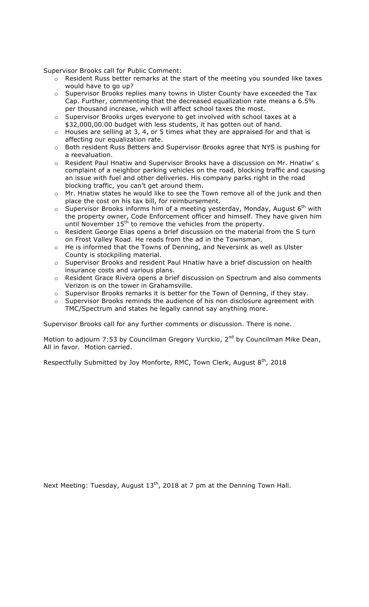Supervisor Brooks call for Public Comment:

- o Resident Russ better remarks at the start of the meeting you sounded like taxes would have to go up?
- o Supervisor Brooks replies many towns in Ulster County have exceeded the Tax Cap. Further, commenting that the decreased equalization rate means a 6.5% per thousand increase, which will affect school taxes the most.
- o Supervisor Brooks urges everyone to get involved with school taxes at a \$32,000,00.00 budget with less students, it has gotten out of hand.
- $\circ$  Houses are selling at 3, 4, or 5 times what they are appraised for and that is affecting our equalization rate.
- o Both resident Russ Betters and Supervisor Brooks agree that NYS is pushing for a reevaluation.
- o Resident Paul Hnatiw and Supervisor Brooks have a discussion on Mr. Hnatiw' s complaint of a neighbor parking vehicles on the road, blocking traffic and causing an issue with fuel and other deliveries. His company parks right in the road blocking traffic, you can't get around them.
- o Mr. Hnatiw states he would like to see the Town remove all of the junk and then place the cost on his tax bill, for reimbursement.
- $\circ$  Supervisor Brooks informs him of a meeting yesterday, Monday, August 6<sup>th</sup> with the property owner, Code Enforcement officer and himself. They have given him until November 15<sup>th</sup> to remove the vehicles from the property.
- o Resident George Elias opens a brief discussion on the material from the S turn on Frost Valley Road. He reads from the ad in the Townsman.
- o He is informed that the Towns of Denning, and Neversink as well as Ulster County is stockpiling material.
- o Supervisor Brooks and resident Paul Hnatiw have a brief discussion on health insurance costs and various plans.
- o Resident Grace Rivera opens a brief discussion on Spectrum and also comments Verizon is on the tower in Grahamsville.
- o Supervisor Brooks remarks it is better for the Town of Denning, if they stay.
- o Supervisor Brooks reminds the audience of his non disclosure agreement with TMC/Spectrum and states he legally cannot say anything more.

Supervisor Brooks call for any further comments or discussion. There is none.

Motion to adjourn 7:53 by Councilman Gregory Vurckio, 2<sup>nd</sup> by Councilman Mike Dean, All in favor. Motion carried.

Respectfully Submitted by Joy Monforte, RMC, Town Clerk, August  $8<sup>th</sup>$ , 2018

Next Meeting: Tuesday, August 13<sup>th</sup>, 2018 at 7 pm at the Denning Town Hall.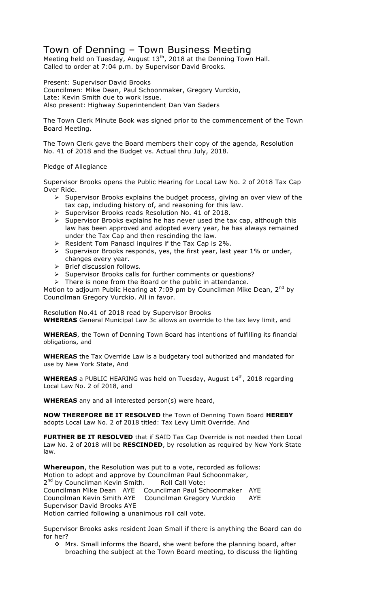## Town of Denning – Town Business Meeting

Meeting held on Tuesday, August  $13^{th}$ , 2018 at the Denning Town Hall. Called to order at 7:04 p.m. by Supervisor David Brooks.

Present: Supervisor David Brooks Councilmen: Mike Dean, Paul Schoonmaker, Gregory Vurckio, Late: Kevin Smith due to work issue. Also present: Highway Superintendent Dan Van Saders

The Town Clerk Minute Book was signed prior to the commencement of the Town Board Meeting.

The Town Clerk gave the Board members their copy of the agenda, Resolution No. 41 of 2018 and the Budget vs. Actual thru July, 2018.

## Pledge of Allegiance

Supervisor Brooks opens the Public Hearing for Local Law No. 2 of 2018 Tax Cap Over Ride.

- $\triangleright$  Supervisor Brooks explains the budget process, giving an over view of the tax cap, including history of, and reasoning for this law.
- > Supervisor Brooks reads Resolution No. 41 of 2018.
- $\triangleright$  Supervisor Brooks explains he has never used the tax cap, although this law has been approved and adopted every year, he has always remained under the Tax Cap and then rescinding the law.
- $\triangleright$  Resident Tom Panasci inquires if the Tax Cap is 2%.
- $\triangleright$  Supervisor Brooks responds, yes, the first year, last year 1% or under, changes every year.
- $\triangleright$  Brief discussion follows.
- > Supervisor Brooks calls for further comments or questions?
- $\triangleright$  There is none from the Board or the public in attendance.

Motion to adjourn Public Hearing at 7:09 pm by Councilman Mike Dean,  $2^{nd}$  by Councilman Gregory Vurckio. All in favor.

Resolution No.41 of 2018 read by Supervisor Brooks **WHEREAS** General Municipal Law 3c allows an override to the tax levy limit, and

**WHEREAS**, the Town of Denning Town Board has intentions of fulfilling its financial obligations, and

**WHEREAS** the Tax Override Law is a budgetary tool authorized and mandated for use by New York State, And

**WHEREAS** a PUBLIC HEARING was held on Tuesday, August 14<sup>th</sup>, 2018 regarding Local Law No. 2 of 2018, and

**WHEREAS** any and all interested person(s) were heard,

**NOW THEREFORE BE IT RESOLVED** the Town of Denning Town Board **HEREBY** adopts Local Law No. 2 of 2018 titled: Tax Levy Limit Override. And

**FURTHER BE IT RESOLVED** that if SAID Tax Cap Override is not needed then Local Law No. 2 of 2018 will be **RESCINDED**, by resolution as required by New York State law.

**Whereupon**, the Resolution was put to a vote, recorded as follows: Motion to adopt and approve by Councilman Paul Schoonmaker, 2<sup>nd</sup> by Councilman Kevin Smith. Roll Call Vote: Councilman Mike Dean AYE Councilman Paul Schoonmaker AYE Councilman Kevin Smith AYE Councilman Gregory Vurckio AYE Supervisor David Brooks AYE Motion carried following a unanimous roll call vote.

Supervisor Brooks asks resident Joan Small if there is anything the Board can do for her?

 $\cdot$  Mrs. Small informs the Board, she went before the planning board, after broaching the subject at the Town Board meeting, to discuss the lighting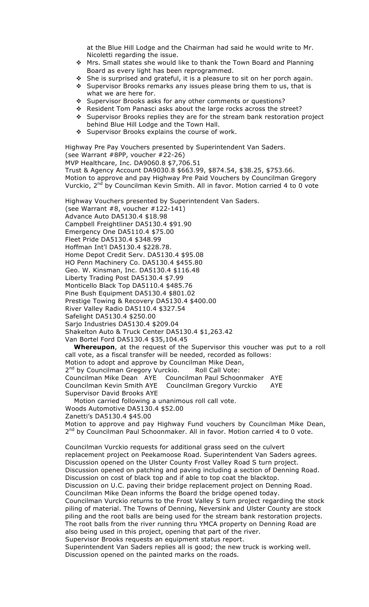at the Blue Hill Lodge and the Chairman had said he would write to Mr. Nicoletti regarding the issue.

- ◆ Mrs. Small states she would like to thank the Town Board and Planning Board as every light has been reprogrammed.
- $\div$  She is surprised and grateful, it is a pleasure to sit on her porch again.
- $\div$  Supervisor Brooks remarks any issues please bring them to us, that is what we are here for.
- \* Supervisor Brooks asks for any other comments or questions?
- \* Resident Tom Panasci asks about the large rocks across the street? \* Supervisor Brooks replies they are for the stream bank restoration project behind Blue Hill Lodge and the Town Hall.
- # Supervisor Brooks explains the course of work.

Highway Pre Pay Vouchers presented by Superintendent Van Saders. (see Warrant #8PP, voucher #22-26)

MVP Healthcare, Inc. DA9060.8 \$7,706.51 Trust & Agency Account DA9030.8 \$663.99, \$874.54, \$38.25, \$753.66. Motion to approve and pay Highway Pre Paid Vouchers by Councilman Gregory Vurckio, 2<sup>nd</sup> by Councilman Kevin Smith. All in favor. Motion carried 4 to 0 vote

Highway Vouchers presented by Superintendent Van Saders. (see Warrant #8, voucher #122-141) Advance Auto DA5130.4 \$18.98 Campbell Freightliner DA5130.4 \$91.90 Emergency One DA5110.4 \$75.00 Fleet Pride DA5130.4 \$348.99 Hoffman Int'l DA5130.4 \$228.78. Home Depot Credit Serv. DA5130.4 \$95.08 HO Penn Machinery Co. DA5130.4 \$455.80 Geo. W. Kinsman, Inc. DA5130.4 \$116.48 Liberty Trading Post DA5130.4 \$7.99 Monticello Black Top DA5110.4 \$485.76 Pine Bush Equipment DA5130.4 \$801.02 Prestige Towing & Recovery DA5130.4 \$400.00 River Valley Radio DA5110.4 \$327.54 Safelight DA5130.4 \$250.00 Sarjo Industries DA5130.4 \$209.04 Shakelton Auto & Truck Center DA5130.4 \$1,263.42 Van Bortel Ford DA5130.4 \$35,104.45

 **Whereupon**, at the request of the Supervisor this voucher was put to a roll call vote, as a fiscal transfer will be needed, recorded as follows: Motion to adopt and approve by Councilman Mike Dean, 2<sup>nd</sup> by Councilman Gregory Vurckio. Roll Call Vote: Councilman Mike Dean AYE Councilman Paul Schoonmaker AYE Councilman Kevin Smith AYE Councilman Gregory Vurckio AYE Supervisor David Brooks AYE

 Motion carried following a unanimous roll call vote. Woods Automotive DA5130.4 \$52.00 Zanetti's DA5130.4 \$45.00 Motion to approve and pay Highway Fund vouchers by Councilman Mike Dean, 2<sup>nd</sup> by Councilman Paul Schoonmaker. All in favor. Motion carried 4 to 0 vote.

Councilman Vurckio requests for additional grass seed on the culvert replacement project on Peekamoose Road. Superintendent Van Saders agrees. Discussion opened on the Ulster County Frost Valley Road S turn project. Discussion opened on patching and paving including a section of Denning Road. Discussion on cost of black top and if able to top coat the blacktop. Discussion on U.C. paving their bridge replacement project on Denning Road. Councilman Mike Dean informs the Board the bridge opened today. Councilman Vurckio returns to the Frost Valley S turn project regarding the stock piling of material. The Towns of Denning, Neversink and Ulster County are stock piling and the root balls are being used for the stream bank restoration projects. The root balls from the river running thru YMCA property on Denning Road are also being used in this project, opening that part of the river. Supervisor Brooks requests an equipment status report. Superintendent Van Saders replies all is good; the new truck is working well. Discussion opened on the painted marks on the roads.